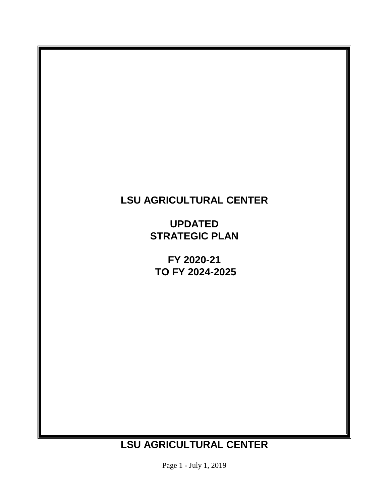# **LSU AGRICULTURAL CENTER**

**UPDATED STRATEGIC PLAN** 

**FY 2020-21 TO FY 2024-2025** 

# **LSU AGRICULTURAL CENTER**

Page 1 - July 1, 2019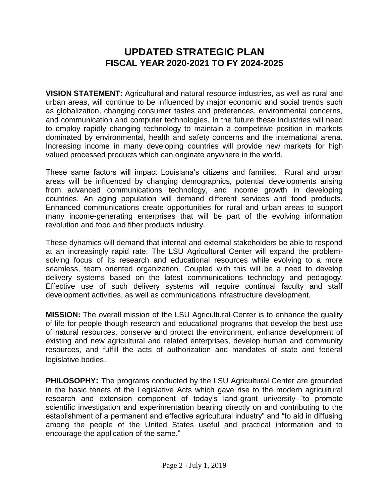# **FISCAL YEAR 2020-2021 TO FY 2024-2025 UPDATED STRATEGIC PLAN**

 urban areas, will continue to be influenced by major economic and social trends such and communication and computer technologies. In the future these industries will need to employ rapidly changing technology to maintain a competitive position in markets dominated by environmental, health and safety concerns and the international arena. Increasing income in many developing countries will provide new markets for high **VISION STATEMENT:** Agricultural and natural resource industries, as well as rural and as globalization, changing consumer tastes and preferences, environmental concerns, valued processed products which can originate anywhere in the world.

 These same factors will impact Louisiana's citizens and families. Rural and urban areas will be influenced by changing demographics, potential developments arising from advanced communications technology, and income growth in developing countries. An aging population will demand different services and food products. Enhanced communications create opportunities for rural and urban areas to support many income-generating enterprises that will be part of the evolving information revolution and food and fiber products industry.

 These dynamics will demand that internal and external stakeholders be able to respond at an increasingly rapid rate. The LSU Agricultural Center will expand the problem- solving focus of its research and educational resources while evolving to a more seamless, team oriented organization. Coupled with this will be a need to develop delivery systems based on the latest communications technology and pedagogy. Effective use of such delivery systems will require continual faculty and staff development activities, as well as communications infrastructure development.

 **MISSION:** The overall mission of the LSU Agricultural Center is to enhance the quality of life for people though research and educational programs that develop the best use of natural resources, conserve and protect the environment, enhance development of existing and new agricultural and related enterprises, develop human and community resources, and fulfill the acts of authorization and mandates of state and federal legislative bodies.

 **PHILOSOPHY:** The programs conducted by the LSU Agricultural Center are grounded in the basic tenets of the Legislative Acts which gave rise to the modern agricultural research and extension component of today's land-grant university--"to promote scientific investigation and experimentation bearing directly on and contributing to the establishment of a permanent and effective agricultural industry" and "to aid in diffusing among the people of the United States useful and practical information and to encourage the application of the same."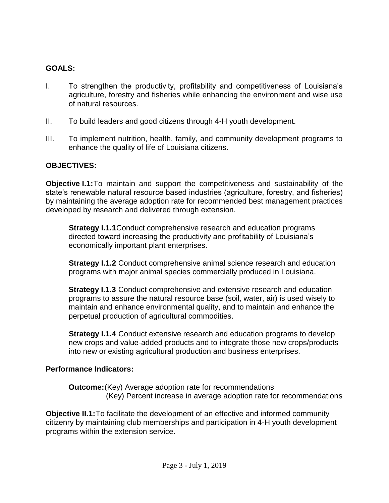## **GOALS:**

- I. To strengthen the productivity, profitability and competitiveness of Louisiana's agriculture, forestry and fisheries while enhancing the environment and wise use of natural resources.
- II. To build leaders and good citizens through 4-H youth development.
- III. To implement nutrition, health, family, and community development programs to enhance the quality of life of Louisiana citizens.

#### **OBJECTIVES:**

 **Objective I.1:**To maintain and support the competitiveness and sustainability of the by maintaining the average adoption rate for recommended best management practices state's renewable natural resource based industries (agriculture, forestry, and fisheries) developed by research and delivered through extension.

**Strategy I.1.1**Conduct comprehensive research and education programs directed toward increasing the productivity and profitability of Louisiana's economically important plant enterprises.

**Strategy I.1.2** Conduct comprehensive animal science research and education programs with major animal species commercially produced in Louisiana.

**Strategy I.1.3** Conduct comprehensive and extensive research and education programs to assure the natural resource base (soil, water, air) is used wisely to maintain and enhance environmental quality, and to maintain and enhance the perpetual production of agricultural commodities.

**Strategy I.1.4** Conduct extensive research and education programs to develop new crops and value-added products and to integrate those new crops/products into new or existing agricultural production and business enterprises.

#### **Performance Indicators:**

**Outcome:**(Key) Average adoption rate for recommendations (Key) Percent increase in average adoption rate for recommendations

**Objective II.1:** To facilitate the development of an effective and informed community citizenry by maintaining club memberships and participation in 4-H youth development programs within the extension service.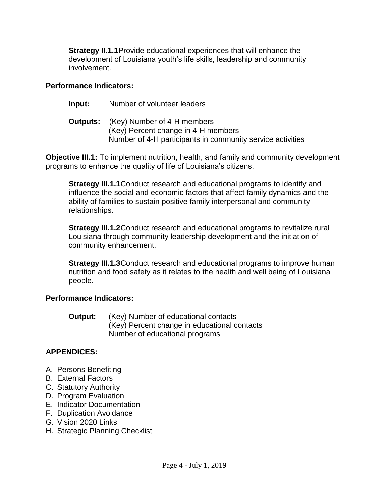**Strategy II.1.1**Provide educational experiences that will enhance the development of Louisiana youth's life skills, leadership and community involvement*.* 

#### **Performance Indicators:**

**Input:** Number of volunteer leaders

| <b>Outputs:</b> (Key) Number of 4-H members                |
|------------------------------------------------------------|
| (Key) Percent change in 4-H members                        |
| Number of 4-H participants in community service activities |

**Objective III.1:** To implement nutrition, health, and family and community development programs to enhance the quality of life of Louisiana's citizens.

**Strategy III.1.1**Conduct research and educational programs to identify and influence the social and economic factors that affect family dynamics and the ability of families to sustain positive family interpersonal and community relationships.

**Strategy III.1.2**Conduct research and educational programs to revitalize rural Louisiana through community leadership development and the initiation of community enhancement.

**Strategy III.1.3**Conduct research and educational programs to improve human nutrition and food safety as it relates to the health and well being of Louisiana people.

## **Performance Indicators:**

**Output:** (Key) Number of educational contacts (Key) Percent change in educational contacts Number of educational programs

## **APPENDICES:**

- A. Persons Benefiting
- B. External Factors
- C. Statutory Authority
- D. Program Evaluation
- E. Indicator Documentation
- F. Duplication Avoidance
- G. Vision 2020 Links
- H. Strategic Planning Checklist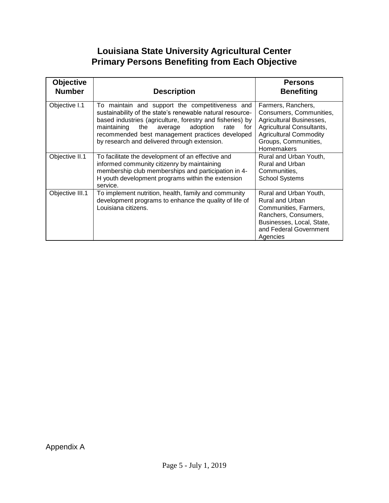# **Primary Persons Benefiting from Each Objective Louisiana State University Agricultural Center**

| <b>Objective</b><br><b>Number</b> | <b>Description</b>                                                                                                                                                                                                                                                                                                                    | <b>Persons</b><br><b>Benefiting</b>                                                                                                                                                  |
|-----------------------------------|---------------------------------------------------------------------------------------------------------------------------------------------------------------------------------------------------------------------------------------------------------------------------------------------------------------------------------------|--------------------------------------------------------------------------------------------------------------------------------------------------------------------------------------|
| Objective I.1                     | To maintain and support the competitiveness and<br>sustainability of the state's renewable natural resource-<br>based industries (agriculture, forestry and fisheries) by<br>maintaining the<br>adoption<br>average<br>rate<br>for<br>recommended best management practices developed<br>by research and delivered through extension. | Farmers, Ranchers,<br>Consumers, Communities,<br>Agricultural Businesses,<br>Agricultural Consultants,<br><b>Agricultural Commodity</b><br>Groups, Communities,<br><b>Homemakers</b> |
| Objective II.1                    | To facilitate the development of an effective and<br>informed community citizenry by maintaining<br>membership club memberships and participation in 4-<br>H youth development programs within the extension<br>service.                                                                                                              | Rural and Urban Youth,<br>Rural and Urban<br>Communities,<br><b>School Systems</b>                                                                                                   |
| Objective III.1                   | To implement nutrition, health, family and community<br>development programs to enhance the quality of life of<br>Louisiana citizens.                                                                                                                                                                                                 | Rural and Urban Youth,<br>Rural and Urban<br>Communities, Farmers,<br>Ranchers, Consumers,<br>Businesses, Local, State,<br>and Federal Government<br>Agencies                        |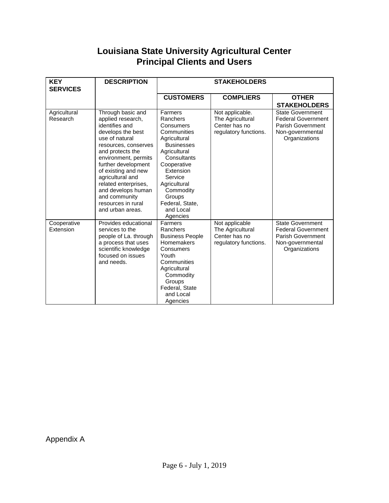# **Louisiana State University Agricultural Center Principal Clients and Users**

| <b>KEY</b><br><b>SERVICES</b> | <b>DESCRIPTION</b>                                                                                                                                                                                                                                                                                                                             | <b>STAKEHOLDERS</b>                                                                                                                                                                                                                           |                                                                               |                                                                                                                       |
|-------------------------------|------------------------------------------------------------------------------------------------------------------------------------------------------------------------------------------------------------------------------------------------------------------------------------------------------------------------------------------------|-----------------------------------------------------------------------------------------------------------------------------------------------------------------------------------------------------------------------------------------------|-------------------------------------------------------------------------------|-----------------------------------------------------------------------------------------------------------------------|
|                               |                                                                                                                                                                                                                                                                                                                                                | <b>CUSTOMERS</b>                                                                                                                                                                                                                              | <b>COMPLIERS</b>                                                              | <b>OTHER</b><br><b>STAKEHOLDERS</b>                                                                                   |
| Agricultural<br>Research      | Through basic and<br>applied research,<br>identifies and<br>develops the best<br>use of natural<br>resources, conserves<br>and protects the<br>environment, permits<br>further development<br>of existing and new<br>agricultural and<br>related enterprises,<br>and develops human<br>and community<br>resources in rural<br>and urban areas. | Farmers<br>Ranchers<br>Consumers<br>Communities<br>Agricultural<br><b>Businesses</b><br>Agricultural<br>Consultants<br>Cooperative<br>Extension<br>Service<br>Agricultural<br>Commodity<br>Groups<br>Federal, State,<br>and Local<br>Agencies | Not applicable.<br>The Agricultural<br>Center has no<br>regulatory functions. | <b>State Government</b><br><b>Federal Government</b><br><b>Parish Government</b><br>Non-governmental<br>Organizations |
| Cooperative<br>Extension      | Provides educational<br>services to the<br>people of La. through<br>a process that uses<br>scientific knowledge<br>focused on issues<br>and needs.                                                                                                                                                                                             | Farmers<br>Ranchers<br><b>Business People</b><br>Homemakers<br>Consumers<br>Youth<br>Communities<br>Agricultural<br>Commodity<br>Groups<br>Federal, State<br>and Local<br>Agencies                                                            | Not applicable<br>The Agricultural<br>Center has no<br>regulatory functions.  | <b>State Government</b><br><b>Federal Government</b><br><b>Parish Government</b><br>Non-governmental<br>Organizations |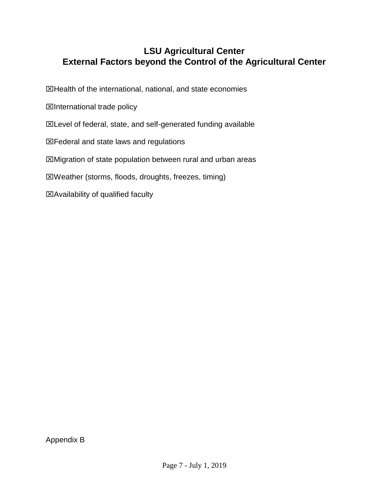# **LSU Agricultural Center External Factors beyond the Control of the Agricultural Center**

 $\boxtimes$  Health of the international, national, and state economies

**Elnternational trade policy** 

**EXLevel of federal, state, and self-generated funding available** 

Federal and state laws and regulations

Migration of state population between rural and urban areas

Weather (storms, floods, droughts, freezes, timing)

Availability of qualified faculty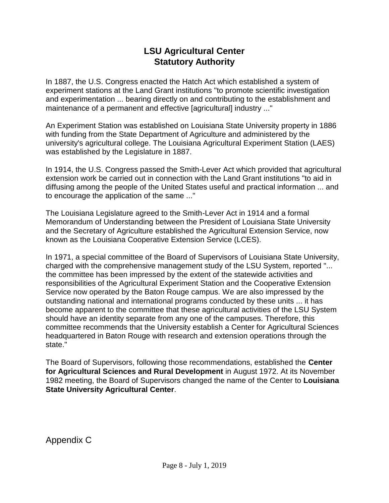# **LSU Agricultural Center Statutory Authority**

In 1887, the U.S. Congress enacted the Hatch Act which established a system of experiment stations at the Land Grant institutions "to promote scientific investigation and experimentation ... bearing directly on and contributing to the establishment and maintenance of a permanent and effective [agricultural] industry ..."

An Experiment Station was established on Louisiana State University property in 1886 with funding from the State Department of Agriculture and administered by the university's agricultural college. The Louisiana Agricultural Experiment Station (LAES) was established by the Legislature in 1887.

In 1914, the U.S. Congress passed the Smith-Lever Act which provided that agricultural extension work be carried out in connection with the Land Grant institutions "to aid in diffusing among the people of the United States useful and practical information ... and to encourage the application of the same ..."

The Louisiana Legislature agreed to the Smith-Lever Act in 1914 and a formal Memorandum of Understanding between the President of Louisiana State University and the Secretary of Agriculture established the Agricultural Extension Service, now known as the Louisiana Cooperative Extension Service (LCES).

In 1971, a special committee of the Board of Supervisors of Louisiana State University, charged with the comprehensive management study of the LSU System, reported "... the committee has been impressed by the extent of the statewide activities and responsibilities of the Agricultural Experiment Station and the Cooperative Extension Service now operated by the Baton Rouge campus. We are also impressed by the outstanding national and international programs conducted by these units ... it has become apparent to the committee that these agricultural activities of the LSU System should have an identity separate from any one of the campuses. Therefore, this committee recommends that the University establish a Center for Agricultural Sciences headquartered in Baton Rouge with research and extension operations through the state."

The Board of Supervisors, following those recommendations, established the **Center for Agricultural Sciences and Rural Development** in August 1972. At its November 1982 meeting, the Board of Supervisors changed the name of the Center to **Louisiana State University Agricultural Center**.

Appendix C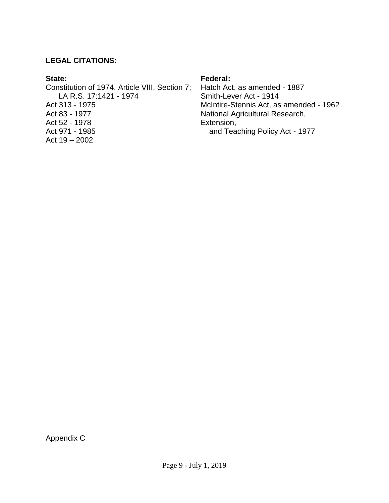#### **LEGAL CITATIONS:**

#### **State:**

Constitution of 1974, Article VIII, Section 7; LA R.S. 17:1421 - 1974 Act 313 - 1975 Act 83 - 1977 Act 52 - 1978 Act 971 - 1985 Act 19 – 2002

#### **Federal:**

Hatch Act, as amended - 1887 Smith-Lever Act - 1914 McIntire-Stennis Act, as amended - 1962 National Agricultural Research, Extension, and Teaching Policy Act - 1977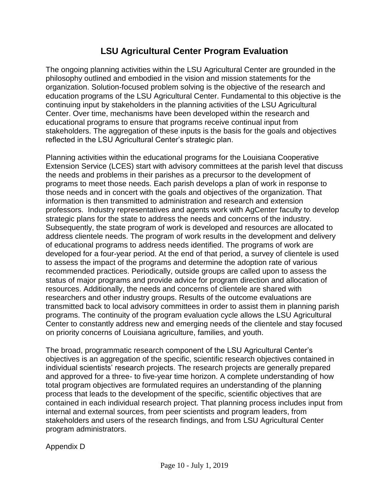# **LSU Agricultural Center Program Evaluation**

The ongoing planning activities within the LSU Agricultural Center are grounded in the philosophy outlined and embodied in the vision and mission statements for the organization. Solution-focused problem solving is the objective of the research and education programs of the LSU Agricultural Center. Fundamental to this objective is the continuing input by stakeholders in the planning activities of the LSU Agricultural Center. Over time, mechanisms have been developed within the research and educational programs to ensure that programs receive continual input from stakeholders. The aggregation of these inputs is the basis for the goals and objectives reflected in the LSU Agricultural Center's strategic plan.

Planning activities within the educational programs for the Louisiana Cooperative Extension Service (LCES) start with advisory committees at the parish level that discuss the needs and problems in their parishes as a precursor to the development of programs to meet those needs. Each parish develops a plan of work in response to those needs and in concert with the goals and objectives of the organization. That information is then transmitted to administration and research and extension professors. Industry representatives and agents work with AgCenter faculty to develop strategic plans for the state to address the needs and concerns of the industry. Subsequently, the state program of work is developed and resources are allocated to address clientele needs. The program of work results in the development and delivery of educational programs to address needs identified. The programs of work are developed for a four-year period. At the end of that period, a survey of clientele is used to assess the impact of the programs and determine the adoption rate of various recommended practices. Periodically, outside groups are called upon to assess the status of major programs and provide advice for program direction and allocation of resources. Additionally, the needs and concerns of clientele are shared with researchers and other industry groups. Results of the outcome evaluations are transmitted back to local advisory committees in order to assist them in planning parish programs. The continuity of the program evaluation cycle allows the LSU Agricultural Center to constantly address new and emerging needs of the clientele and stay focused on priority concerns of Louisiana agriculture, families, and youth.

The broad, programmatic research component of the LSU Agricultural Center's objectives is an aggregation of the specific, scientific research objectives contained in individual scientists' research projects. The research projects are generally prepared and approved for a three- to five-year time horizon. A complete understanding of how total program objectives are formulated requires an understanding of the planning process that leads to the development of the specific, scientific objectives that are contained in each individual research project. That planning process includes input from internal and external sources, from peer scientists and program leaders, from stakeholders and users of the research findings, and from LSU Agricultural Center program administrators.

Appendix D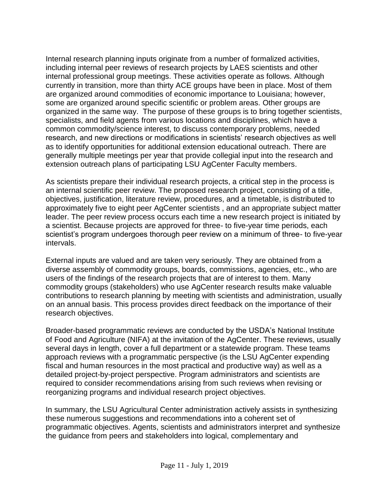Internal research planning inputs originate from a number of formalized activities, including internal peer reviews of research projects by LAES scientists and other internal professional group meetings. These activities operate as follows. Although currently in transition, more than thirty ACE groups have been in place. Most of them are organized around commodities of economic importance to Louisiana; however, some are organized around specific scientific or problem areas. Other groups are organized in the same way. The purpose of these groups is to bring together scientists, specialists, and field agents from various locations and disciplines, which have a common commodity/science interest, to discuss contemporary problems, needed research, and new directions or modifications in scientists' research objectives as well as to identify opportunities for additional extension educational outreach. There are generally multiple meetings per year that provide collegial input into the research and extension outreach plans of participating LSU AgCenter Faculty members.

As scientists prepare their individual research projects, a critical step in the process is an internal scientific peer review. The proposed research project, consisting of a title, objectives, justification, literature review, procedures, and a timetable, is distributed to approximately five to eight peer AgCenter scientists , and an appropriate subject matter leader. The peer review process occurs each time a new research project is initiated by a scientist. Because projects are approved for three- to five-year time periods, each scientist's program undergoes thorough peer review on a minimum of three- to five-year intervals.

External inputs are valued and are taken very seriously. They are obtained from a diverse assembly of commodity groups, boards, commissions, agencies, etc., who are users of the findings of the research projects that are of interest to them. Many commodity groups (stakeholders) who use AgCenter research results make valuable contributions to research planning by meeting with scientists and administration, usually on an annual basis. This process provides direct feedback on the importance of their research objectives.

Broader-based programmatic reviews are conducted by the USDA's National Institute of Food and Agriculture (NIFA) at the invitation of the AgCenter. These reviews, usually several days in length, cover a full department or a statewide program. These teams approach reviews with a programmatic perspective (is the LSU AgCenter expending fiscal and human resources in the most practical and productive way) as well as a detailed project-by-project perspective. Program administrators and scientists are required to consider recommendations arising from such reviews when revising or reorganizing programs and individual research project objectives.

In summary, the LSU Agricultural Center administration actively assists in synthesizing these numerous suggestions and recommendations into a coherent set of programmatic objectives. Agents, scientists and administrators interpret and synthesize the guidance from peers and stakeholders into logical, complementary and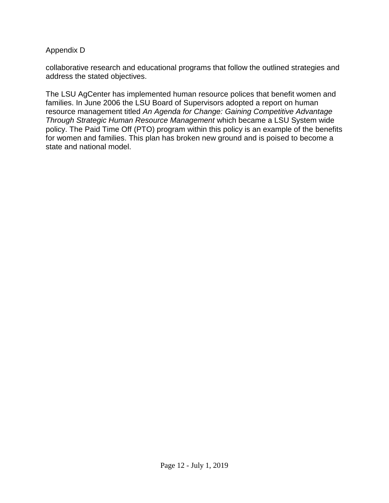#### Appendix D

collaborative research and educational programs that follow the outlined strategies and address the stated objectives.

The LSU AgCenter has implemented human resource polices that benefit women and families. In June 2006 the LSU Board of Supervisors adopted a report on human resource management titled *An Agenda for Change: Gaining Competitive Advantage Through Strategic Human Resource Management* which became a LSU System wide policy. The Paid Time Off (PTO) program within this policy is an example of the benefits for women and families. This plan has broken new ground and is poised to become a state and national model.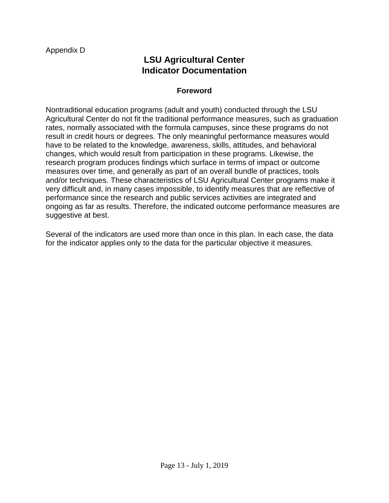# **LSU Agricultural Center Indicator Documentation**

#### **Foreword**

Nontraditional education programs (adult and youth) conducted through the LSU Agricultural Center do not fit the traditional performance measures, such as graduation rates, normally associated with the formula campuses, since these programs do not result in credit hours or degrees. The only meaningful performance measures would have to be related to the knowledge, awareness, skills, attitudes, and behavioral changes, which would result from participation in these programs. Likewise, the research program produces findings which surface in terms of impact or outcome measures over time, and generally as part of an overall bundle of practices, tools and/or techniques. These characteristics of LSU Agricultural Center programs make it very difficult and, in many cases impossible, to identify measures that are reflective of performance since the research and public services activities are integrated and ongoing as far as results. Therefore, the indicated outcome performance measures are suggestive at best.

Several of the indicators are used more than once in this plan. In each case, the data for the indicator applies only to the data for the particular objective it measures.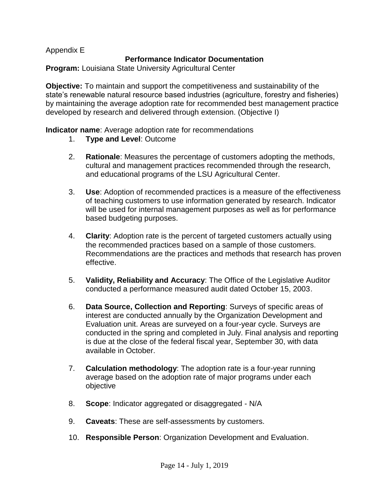# **Performance Indicator Documentation**

**Program:** Louisiana State University Agricultural Center

**Objective:** To maintain and support the competitiveness and sustainability of the state's renewable natural resource based industries (agriculture, forestry and fisheries) by maintaining the average adoption rate for recommended best management practice developed by research and delivered through extension. (Objective I)

**Indicator name**: Average adoption rate for recommendations

- 1. **Type and Level**: Outcome
- 2. **Rationale**: Measures the percentage of customers adopting the methods, cultural and management practices recommended through the research, and educational programs of the LSU Agricultural Center.
- 3. **Use**: Adoption of recommended practices is a measure of the effectiveness of teaching customers to use information generated by research. Indicator will be used for internal management purposes as well as for performance based budgeting purposes.
- 4. **Clarity**: Adoption rate is the percent of targeted customers actually using the recommended practices based on a sample of those customers. Recommendations are the practices and methods that research has proven effective.
- conducted a performance measured audit dated October 15, 2003. 5. **Validity, Reliability and Accuracy**: The Office of the Legislative Auditor
- 6. **Data Source, Collection and Reporting:** Surveys of specific areas of interest are conducted annually by the Organization Development and Evaluation unit. Areas are surveyed on a four-year cycle. Surveys are conducted in the spring and completed in July. Final analysis and reporting is due at the close of the federal fiscal year, September 30, with data available in October.
- 7. **Calculation methodology**: The adoption rate is a four-year running average based on the adoption rate of major programs under each objective
- 8. **Scope**: Indicator aggregated or disaggregated N/A
- 9. **Caveats**: These are self-assessments by customers.
- 10. **Responsible Person**: Organization Development and Evaluation.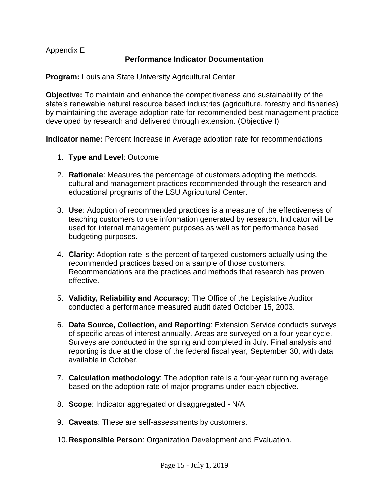# **Performance Indicator Documentation**

**Program:** Louisiana State University Agricultural Center

**Objective:** To maintain and enhance the competitiveness and sustainability of the state's renewable natural resource based industries (agriculture, forestry and fisheries) by maintaining the average adoption rate for recommended best management practice developed by research and delivered through extension. (Objective I)

 **Indicator name:** Percent Increase in Average adoption rate for recommendations 1. **Type and Level**: Outcome

- 
- 2. **Rationale**: Measures the percentage of customers adopting the methods, cultural and management practices recommended through the research and educational programs of the LSU Agricultural Center.
- 3. **Use**: Adoption of recommended practices is a measure of the effectiveness of teaching customers to use information generated by research. Indicator will be used for internal management purposes as well as for performance based budgeting purposes.
- 4. **Clarity**: Adoption rate is the percent of targeted customers actually using the recommended practices based on a sample of those customers. Recommendations are the practices and methods that research has proven effective.
- 5. **Validity, Reliability and Accuracy**: The Office of the Legislative Auditor conducted a performance measured audit dated October 15, 2003.
- 6. **Data Source, Collection, and Reporting**: Extension Service conducts surveys of specific areas of interest annually. Areas are surveyed on a four-year cycle. Surveys are conducted in the spring and completed in July. Final analysis and reporting is due at the close of the federal fiscal year, September 30, with data available in October.
- 7. **Calculation methodology**: The adoption rate is a four-year running average based on the adoption rate of major programs under each objective.
- 8. **Scope**: Indicator aggregated or disaggregated N/A
- 9. **Caveats**: These are self-assessments by customers.
- 10.**Responsible Person**: Organization Development and Evaluation.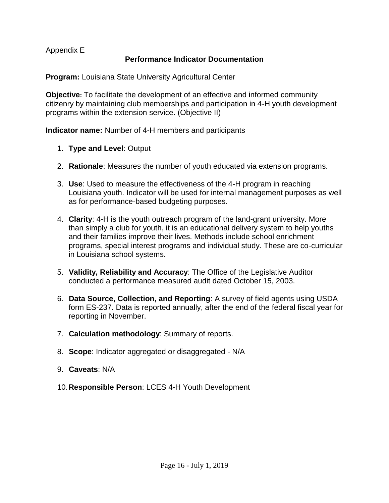# **Performance Indicator Documentation**

**Program:** Louisiana State University Agricultural Center

**Objective:** To facilitate the development of an effective and informed community citizenry by maintaining club memberships and participation in 4-H youth development programs within the extension service. (Objective II)

**Indicator name:** Number of 4-H members and participants

- 1. **Type and Level**: Output
- 2. **Rationale**: Measures the number of youth educated via extension programs.
- 3. **Use**: Used to measure the effectiveness of the 4-H program in reaching Louisiana youth. Indicator will be used for internal management purposes as well as for performance-based budgeting purposes.
- 4. **Clarity**: 4-H is the youth outreach program of the land-grant university. More than simply a club for youth, it is an educational delivery system to help youths and their families improve their lives. Methods include school enrichment programs, special interest programs and individual study. These are co-curricular in Louisiana school systems.
- 5. **Validity, Reliability and Accuracy**: The Office of the Legislative Auditor conducted a performance measured audit dated October 15, 2003.
- 6. **Data Source, Collection, and Reporting**: A survey of field agents using USDA form ES-237. Data is reported annually, after the end of the federal fiscal year for reporting in November.
- 7. **Calculation methodology**: Summary of reports.
- 8. **Scope**: Indicator aggregated or disaggregated N/A
- 9. **Caveats**: N/A
- 10.**Responsible Person**: LCES 4-H Youth Development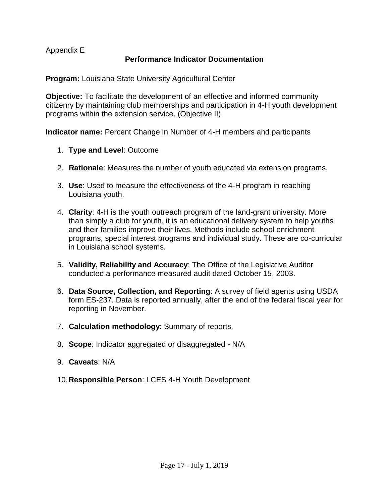# **Performance Indicator Documentation**

**Program:** Louisiana State University Agricultural Center

**Objective:** To facilitate the development of an effective and informed community citizenry by maintaining club memberships and participation in 4-H youth development programs within the extension service. (Objective II)

**Indicator name:** Percent Change in Number of 4-H members and participants

- 1. **Type and Level**: Outcome
- 2. **Rationale**: Measures the number of youth educated via extension programs.
- 3. **Use**: Used to measure the effectiveness of the 4-H program in reaching Louisiana youth.
- 4. **Clarity**: 4-H is the youth outreach program of the land-grant university. More than simply a club for youth, it is an educational delivery system to help youths and their families improve their lives. Methods include school enrichment programs, special interest programs and individual study. These are co-curricular in Louisiana school systems.
- 5. **Validity, Reliability and Accuracy**: The Office of the Legislative Auditor conducted a performance measured audit dated October 15, 2003.
- 6. **Data Source, Collection, and Reporting**: A survey of field agents using USDA form ES-237. Data is reported annually, after the end of the federal fiscal year for reporting in November.
- 7. **Calculation methodology**: Summary of reports.
- 8. **Scope**: Indicator aggregated or disaggregated N/A
- 9. **Caveats**: N/A
- 10.**Responsible Person**: LCES 4-H Youth Development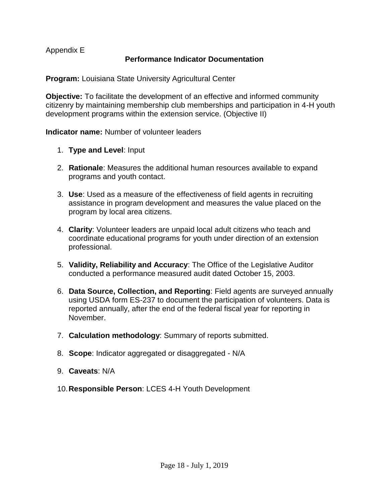# **Performance Indicator Documentation**

**Program:** Louisiana State University Agricultural Center

**Objective:** To facilitate the development of an effective and informed community citizenry by maintaining membership club memberships and participation in 4-H youth development programs within the extension service. (Objective II)

**Indicator name:** Number of volunteer leaders

- 1. **Type and Level**: Input
- 2. **Rationale**: Measures the additional human resources available to expand programs and youth contact.
- 3. **Use**: Used as a measure of the effectiveness of field agents in recruiting assistance in program development and measures the value placed on the program by local area citizens.
- 4. **Clarity**: Volunteer leaders are unpaid local adult citizens who teach and coordinate educational programs for youth under direction of an extension professional.
- 5. **Validity, Reliability and Accuracy**: The Office of the Legislative Auditor conducted a performance measured audit dated October 15, 2003.
- 6. **Data Source, Collection, and Reporting**: Field agents are surveyed annually using USDA form ES-237 to document the participation of volunteers. Data is reported annually, after the end of the federal fiscal year for reporting in November.
- 7. **Calculation methodology**: Summary of reports submitted.
- 8. **Scope**: Indicator aggregated or disaggregated N/A
- 9. **Caveats**: N/A
- 10.**Responsible Person**: LCES 4-H Youth Development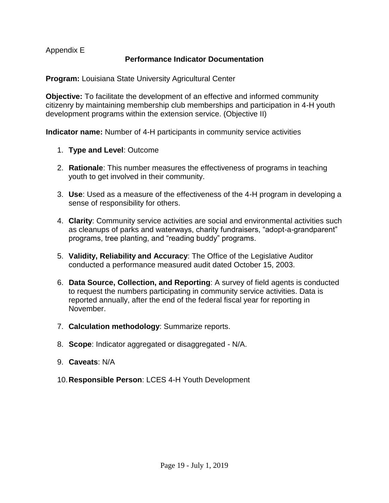# **Performance Indicator Documentation**

**Program:** Louisiana State University Agricultural Center

**Objective:** To facilitate the development of an effective and informed community citizenry by maintaining membership club memberships and participation in 4-H youth development programs within the extension service. (Objective II)

 **Indicator name:** Number of 4-H participants in community service activities 1. **Type and Level**: Outcome

- 
- 2. **Rationale**: This number measures the effectiveness of programs in teaching youth to get involved in their community.
- 3. **Use**: Used as a measure of the effectiveness of the 4-H program in developing a sense of responsibility for others.
- 4. **Clarity**: Community service activities are social and environmental activities such as cleanups of parks and waterways, charity fundraisers, "adopt-a-grandparent" programs, tree planting, and "reading buddy" programs.
- 5. **Validity, Reliability and Accuracy**: The Office of the Legislative Auditor conducted a performance measured audit dated October 15, 2003.
- 6. **Data Source, Collection, and Reporting**: A survey of field agents is conducted to request the numbers participating in community service activities. Data is reported annually, after the end of the federal fiscal year for reporting in November.
- 7. **Calculation methodology**: Summarize reports.
- 8. **Scope**: Indicator aggregated or disaggregated N/A.
- 9. **Caveats**: N/A
- 10.**Responsible Person**: LCES 4-H Youth Development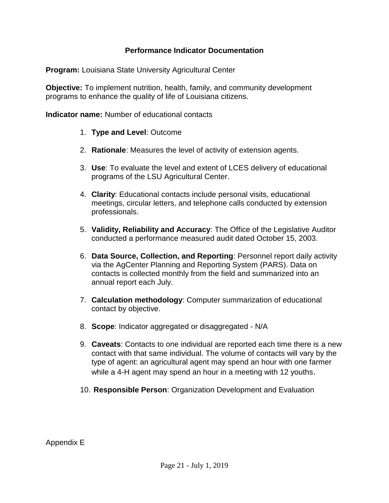## **Performance Indicator Documentation**

**Program:** Louisiana State University Agricultural Center

**Objective:** To implement nutrition, health, family, and community development programs to enhance the quality of life of Louisiana citizens.

**Indicator name:** Number of educational contacts

- 1. **Type and Level**: Outcome
- 2. **Rationale**: Measures the level of activity of extension agents.
- 3. **Use**: To evaluate the level and extent of LCES delivery of educational programs of the LSU Agricultural Center.
- 4. **Clarity**: Educational contacts include personal visits, educational meetings, circular letters, and telephone calls conducted by extension professionals.
- 5. **Validity, Reliability and Accuracy**: The Office of the Legislative Auditor conducted a performance measured audit dated October 15, 2003.
- 6. **Data Source, Collection, and Reporting**: Personnel report daily activity via the AgCenter Planning and Reporting System (PARS). Data on contacts is collected monthly from the field and summarized into an annual report each July.
- 7. **Calculation methodology**: Computer summarization of educational contact by objective.
- 8. **Scope**: Indicator aggregated or disaggregated N/A
- 9. **Caveats**: Contacts to one individual are reported each time there is a new contact with that same individual. The volume of contacts will vary by the type of agent: an agricultural agent may spend an hour with one farmer while a 4-H agent may spend an hour in a meeting with 12 youths.
- 10. **Responsible Person**: Organization Development and Evaluation

Appendix E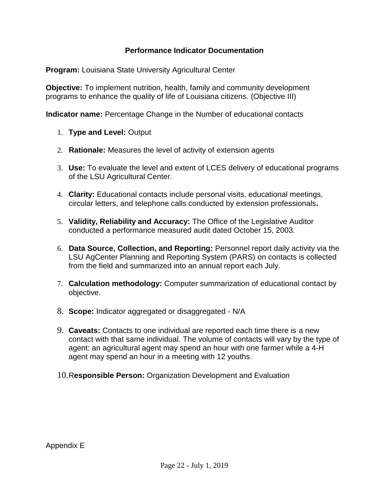# **Performance Indicator Documentation**

**Program:** Louisiana State University Agricultural Center

**Objective:** To implement nutrition, health, family and community development programs to enhance the quality of life of Louisiana citizens. (Objective III)

 **Indicator name:** Percentage Change in the Number of educational contacts

- 1. **Type and Level:** Output
- 2. **Rationale:** Measures the level of activity of extension agents
- 3. **Use:** To evaluate the level and extent of LCES delivery of educational programs of the LSU Agricultural Center.
- 4. **Clarity:** Educational contacts include personal visits, educational meetings, circular letters, and telephone calls conducted by extension professionals**.**
- 5. **Validity, Reliability and Accuracy:** The Office of the Legislative Auditor conducted a performance measured audit dated October 15, 2003.
- LSU AgCenter Planning and Reporting System (PARS) on contacts is collected<br>from the field and summarized into an annual report each July. 6. **Data Source, Collection, and Reporting:** Personnel report daily activity via the
- 7. **Calculation methodology:** Computer summarization of educational contact by objective.
- 8. **Scope:** Indicator aggregated or disaggregated N/A
- 9. **Caveats:** Contacts to one individual are reported each time there is a new contact with that same individual. The volume of contacts will vary by the type of agent: an agricultural agent may spend an hour with one farmer while a 4-H agent may spend an hour in a meeting with 12 youths.
- 10.R**esponsible Person:** Organization Development and Evaluation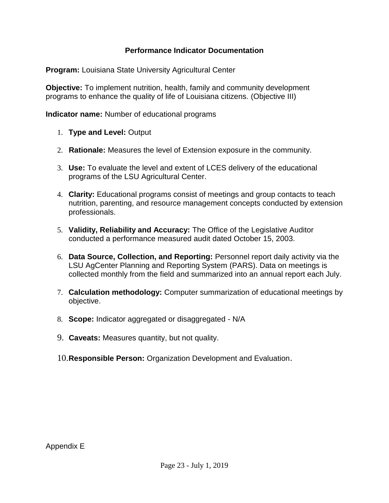# **Performance Indicator Documentation**

**Program:** Louisiana State University Agricultural Center

**Objective:** To implement nutrition, health, family and community development programs to enhance the quality of life of Louisiana citizens. (Objective III)

**Indicator name:** Number of educational programs

- 1. **Type and Level:** Output
- 2. **Rationale:** Measures the level of Extension exposure in the community.
- 3. **Use:** To evaluate the level and extent of LCES delivery of the educational programs of the LSU Agricultural Center.
- 4. **Clarity:** Educational programs consist of meetings and group contacts to teach nutrition, parenting, and resource management concepts conducted by extension professionals.
- 5. **Validity, Reliability and Accuracy:** The Office of the Legislative Auditor conducted a performance measured audit dated October 15, 2003.
- 6. **Data Source, Collection, and Reporting:** Personnel report daily activity via the LSU AgCenter Planning and Reporting System (PARS). Data on meetings is collected monthly from the field and summarized into an annual report each July.
- 7. **Calculation methodology:** Computer summarization of educational meetings by objective.
- 8. **Scope:** Indicator aggregated or disaggregated N/A
- 9. **Caveats:** Measures quantity, but not quality.
- 10.**Responsible Person:** Organization Development and Evaluation.